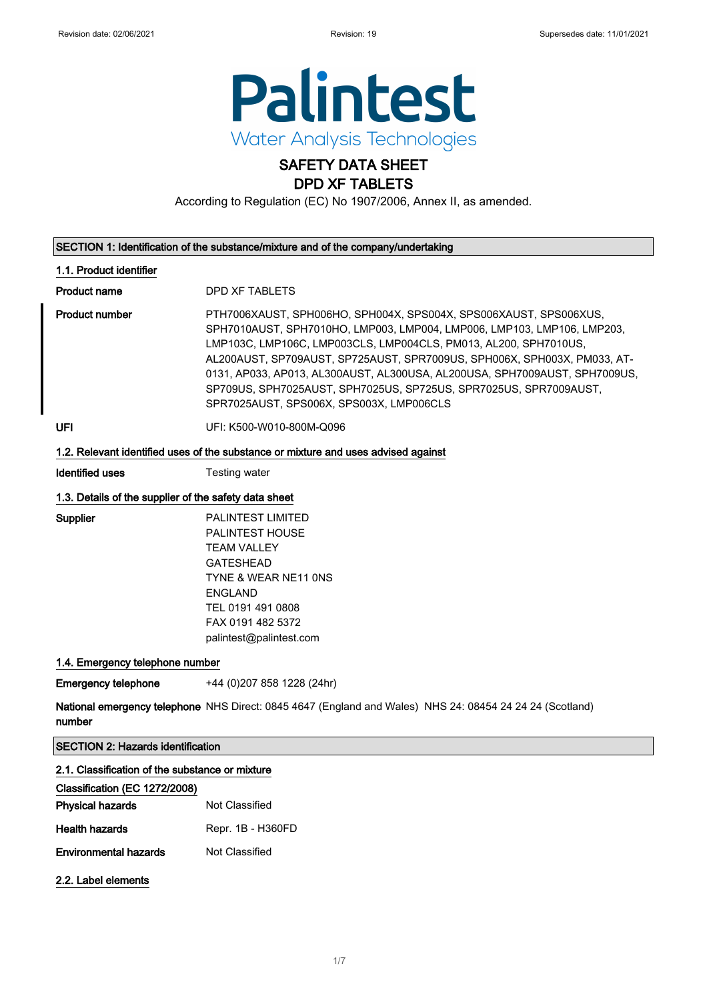

## SAFETY DATA SHEET DPD XF TABLETS

According to Regulation (EC) No 1907/2006, Annex II, as amended.

| SECTION 1: Identification of the substance/mixture and of the company/undertaking |  |
|-----------------------------------------------------------------------------------|--|
|                                                                                   |  |

#### 1.1. Product identifier

Product name DPD XF TABLETS

Product number **PTH7006XAUST, SPH006HO, SPH004X, SPS004X, SPS006XAUST, SPS006XUS,** SPH7010AUST, SPH7010HO, LMP003, LMP004, LMP006, LMP103, LMP106, LMP203, LMP103C, LMP106C, LMP003CLS, LMP004CLS, PM013, AL200, SPH7010US, AL200AUST, SP709AUST, SP725AUST, SPR7009US, SPH006X, SPH003X, PM033, AT-0131, AP033, AP013, AL300AUST, AL300USA, AL200USA, SPH7009AUST, SPH7009US, SP709US, SPH7025AUST, SPH7025US, SP725US, SPR7025US, SPR7009AUST, SPR7025AUST, SPS006X, SPS003X, LMP006CLS

UFI UFI: K500-W010-800M-Q096

#### 1.2. Relevant identified uses of the substance or mixture and uses advised against

Identified uses Testing water

#### 1.3. Details of the supplier of the safety data sheet

Supplier PALINTEST LIMITED PALINTEST HOUSE TEAM VALLEY GATESHEAD TYNE & WEAR NE11 0NS ENGLAND TEL 0191 491 0808 FAX 0191 482 5372 palintest@palintest.com

#### 1.4. Emergency telephone number

**Emergency telephone** +44 (0)207 858 1228 (24hr)

**National emergency telephone** NHS Direct: 0845 4647 (England and Wales) NHS 24: 08454 24 24 24 (Scotland) number

SECTION 2: Hazards identification

#### 2.1. Classification of the substance or mixture

| Classification (EC 1272/2008) |                   |
|-------------------------------|-------------------|
| <b>Physical hazards</b>       | Not Classified    |
| <b>Health hazards</b>         | Repr. 1B - H360FD |
| Environmental hazards         | Not Classified    |
|                               |                   |

### 2.2. Label elements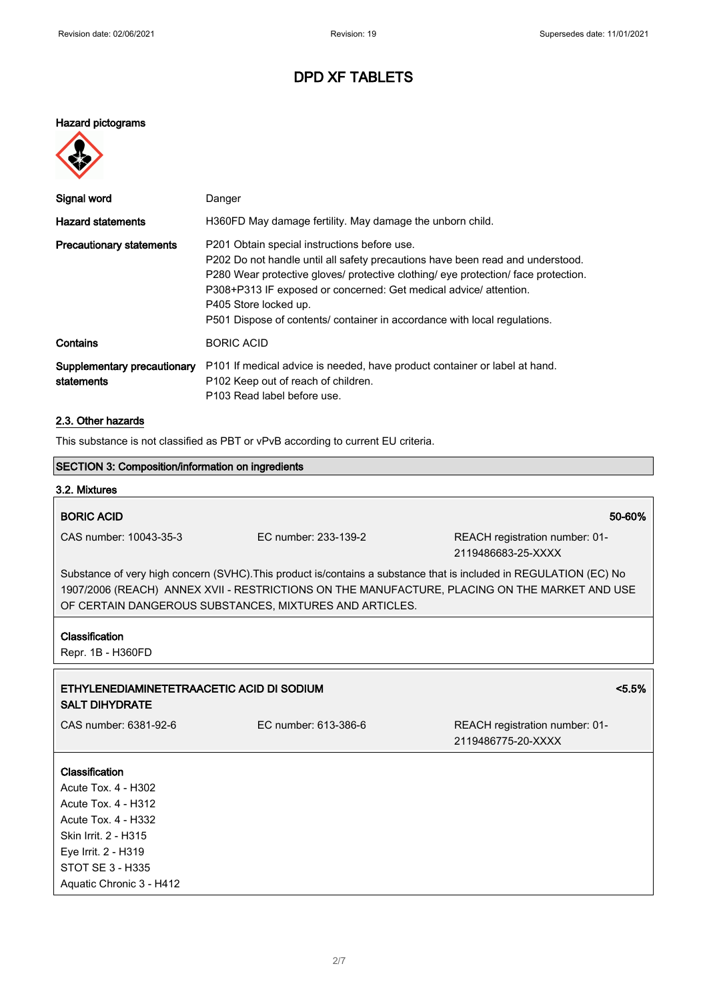#### Hazard pictograms



| Signal word                               | Danger                                                                                                                                                                                                                                                                                                                                                                                          |
|-------------------------------------------|-------------------------------------------------------------------------------------------------------------------------------------------------------------------------------------------------------------------------------------------------------------------------------------------------------------------------------------------------------------------------------------------------|
| <b>Hazard statements</b>                  | H360FD May damage fertility. May damage the unborn child.                                                                                                                                                                                                                                                                                                                                       |
| <b>Precautionary statements</b>           | P201 Obtain special instructions before use.<br>P202 Do not handle until all safety precautions have been read and understood.<br>P280 Wear protective gloves/ protective clothing/ eye protection/ face protection.<br>P308+P313 IF exposed or concerned: Get medical advice/ attention.<br>P405 Store locked up.<br>P501 Dispose of contents/ container in accordance with local regulations. |
| Contains                                  | <b>BORIC ACID</b>                                                                                                                                                                                                                                                                                                                                                                               |
| Supplementary precautionary<br>statements | P101 If medical advice is needed, have product container or label at hand.<br>P <sub>102</sub> Keep out of reach of children.<br>P103 Read label before use.                                                                                                                                                                                                                                    |

### 2.3. Other hazards

This substance is not classified as PBT or vPvB according to current EU criteria.

|                                                                                                                                                                                                                                                                                |                      | This saperation is tist slassified as I DT of YE associating to safterit LS |  |  |
|--------------------------------------------------------------------------------------------------------------------------------------------------------------------------------------------------------------------------------------------------------------------------------|----------------------|-----------------------------------------------------------------------------|--|--|
| SECTION 3: Composition/information on ingredients                                                                                                                                                                                                                              |                      |                                                                             |  |  |
| 3.2. Mixtures                                                                                                                                                                                                                                                                  |                      |                                                                             |  |  |
| <b>BORIC ACID</b>                                                                                                                                                                                                                                                              |                      | 50-60%                                                                      |  |  |
| CAS number: 10043-35-3                                                                                                                                                                                                                                                         | EC number: 233-139-2 | REACH registration number: 01-<br>2119486683-25-XXXX                        |  |  |
| Substance of very high concern (SVHC). This product is/contains a substance that is included in REGULATION (EC) No<br>1907/2006 (REACH) ANNEX XVII - RESTRICTIONS ON THE MANUFACTURE, PLACING ON THE MARKET AND USE<br>OF CERTAIN DANGEROUS SUBSTANCES, MIXTURES AND ARTICLES. |                      |                                                                             |  |  |
| Classification<br>Repr. 1B - H360FD                                                                                                                                                                                                                                            |                      |                                                                             |  |  |
| ETHYLENEDIAMINETETRAACETIC ACID DI SODIUM<br><b>SALT DIHYDRATE</b>                                                                                                                                                                                                             |                      | $< 5.5\%$                                                                   |  |  |
| CAS number: 6381-92-6                                                                                                                                                                                                                                                          | EC number: 613-386-6 | REACH registration number: 01-<br>2119486775-20-XXXX                        |  |  |
| Classification<br>Acute Tox. 4 - H302<br><b>Acute Tox. 4 - H312</b><br>Acute Tox. 4 - H332                                                                                                                                                                                     |                      |                                                                             |  |  |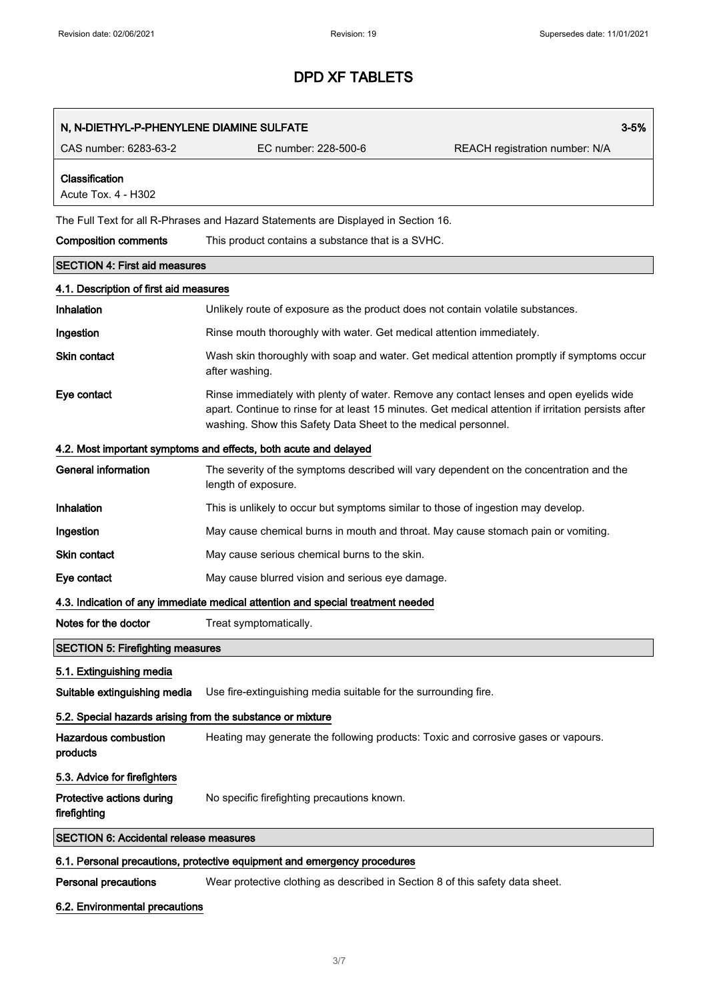| N, N-DIETHYL-P-PHENYLENE DIAMINE SULFATE                   |                                                                                                                                                                                                                                                                   | $3 - 5%$                       |
|------------------------------------------------------------|-------------------------------------------------------------------------------------------------------------------------------------------------------------------------------------------------------------------------------------------------------------------|--------------------------------|
| CAS number: 6283-63-2                                      | EC number: 228-500-6                                                                                                                                                                                                                                              | REACH registration number: N/A |
| Classification<br>Acute Tox. 4 - H302                      |                                                                                                                                                                                                                                                                   |                                |
|                                                            | The Full Text for all R-Phrases and Hazard Statements are Displayed in Section 16.                                                                                                                                                                                |                                |
| <b>Composition comments</b>                                | This product contains a substance that is a SVHC.                                                                                                                                                                                                                 |                                |
| <b>SECTION 4: First aid measures</b>                       |                                                                                                                                                                                                                                                                   |                                |
| 4.1. Description of first aid measures                     |                                                                                                                                                                                                                                                                   |                                |
| Inhalation                                                 | Unlikely route of exposure as the product does not contain volatile substances.                                                                                                                                                                                   |                                |
| Ingestion                                                  | Rinse mouth thoroughly with water. Get medical attention immediately.                                                                                                                                                                                             |                                |
| <b>Skin contact</b>                                        | Wash skin thoroughly with soap and water. Get medical attention promptly if symptoms occur<br>after washing.                                                                                                                                                      |                                |
| Eye contact                                                | Rinse immediately with plenty of water. Remove any contact lenses and open eyelids wide<br>apart. Continue to rinse for at least 15 minutes. Get medical attention if irritation persists after<br>washing. Show this Safety Data Sheet to the medical personnel. |                                |
|                                                            | 4.2. Most important symptoms and effects, both acute and delayed                                                                                                                                                                                                  |                                |
| <b>General information</b>                                 | The severity of the symptoms described will vary dependent on the concentration and the<br>length of exposure.                                                                                                                                                    |                                |
| Inhalation                                                 | This is unlikely to occur but symptoms similar to those of ingestion may develop.                                                                                                                                                                                 |                                |
| Ingestion                                                  | May cause chemical burns in mouth and throat. May cause stomach pain or vomiting.                                                                                                                                                                                 |                                |
| <b>Skin contact</b>                                        | May cause serious chemical burns to the skin.                                                                                                                                                                                                                     |                                |
| Eye contact                                                | May cause blurred vision and serious eye damage.                                                                                                                                                                                                                  |                                |
|                                                            | 4.3. Indication of any immediate medical attention and special treatment needed                                                                                                                                                                                   |                                |
| Notes for the doctor                                       | Treat symptomatically.                                                                                                                                                                                                                                            |                                |
| <b>SECTION 5: Firefighting measures</b>                    |                                                                                                                                                                                                                                                                   |                                |
| 5.1. Extinguishing media                                   |                                                                                                                                                                                                                                                                   |                                |
| Suitable extinguishing media                               | Use fire-extinguishing media suitable for the surrounding fire.                                                                                                                                                                                                   |                                |
| 5.2. Special hazards arising from the substance or mixture |                                                                                                                                                                                                                                                                   |                                |
| <b>Hazardous combustion</b><br>products                    | Heating may generate the following products: Toxic and corrosive gases or vapours.                                                                                                                                                                                |                                |
| 5.3. Advice for firefighters                               |                                                                                                                                                                                                                                                                   |                                |
| Protective actions during<br>firefighting                  | No specific firefighting precautions known.                                                                                                                                                                                                                       |                                |
| <b>SECTION 6: Accidental release measures</b>              |                                                                                                                                                                                                                                                                   |                                |
|                                                            | 6.1. Personal precautions, protective equipment and emergency procedures                                                                                                                                                                                          |                                |
| <b>Personal precautions</b>                                | Wear protective clothing as described in Section 8 of this safety data sheet.                                                                                                                                                                                     |                                |
| 6.2. Environmental precautions                             |                                                                                                                                                                                                                                                                   |                                |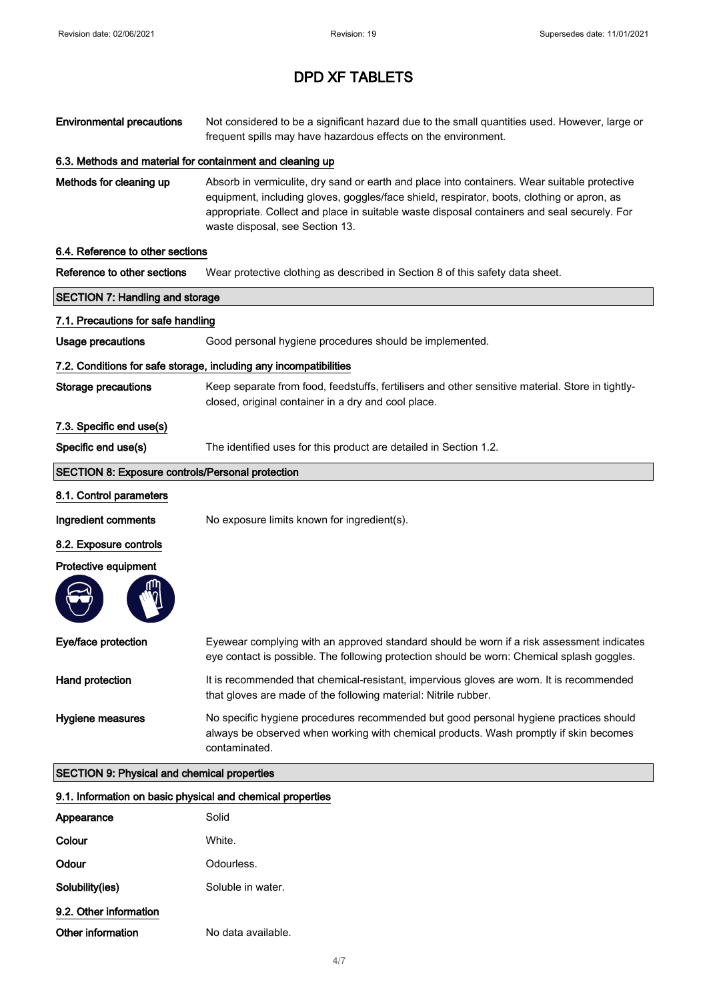| <b>Environmental precautions</b>                           | Not considered to be a significant hazard due to the small quantities used. However, large or<br>frequent spills may have hazardous effects on the environment.                                                                                                                                                              |  |
|------------------------------------------------------------|------------------------------------------------------------------------------------------------------------------------------------------------------------------------------------------------------------------------------------------------------------------------------------------------------------------------------|--|
| 6.3. Methods and material for containment and cleaning up  |                                                                                                                                                                                                                                                                                                                              |  |
| Methods for cleaning up                                    | Absorb in vermiculite, dry sand or earth and place into containers. Wear suitable protective<br>equipment, including gloves, goggles/face shield, respirator, boots, clothing or apron, as<br>appropriate. Collect and place in suitable waste disposal containers and seal securely. For<br>waste disposal, see Section 13. |  |
| 6.4. Reference to other sections                           |                                                                                                                                                                                                                                                                                                                              |  |
| Reference to other sections                                | Wear protective clothing as described in Section 8 of this safety data sheet.                                                                                                                                                                                                                                                |  |
| <b>SECTION 7: Handling and storage</b>                     |                                                                                                                                                                                                                                                                                                                              |  |
| 7.1. Precautions for safe handling                         |                                                                                                                                                                                                                                                                                                                              |  |
| <b>Usage precautions</b>                                   | Good personal hygiene procedures should be implemented.                                                                                                                                                                                                                                                                      |  |
|                                                            | 7.2. Conditions for safe storage, including any incompatibilities                                                                                                                                                                                                                                                            |  |
| <b>Storage precautions</b>                                 | Keep separate from food, feedstuffs, fertilisers and other sensitive material. Store in tightly-<br>closed, original container in a dry and cool place.                                                                                                                                                                      |  |
| 7.3. Specific end use(s)                                   |                                                                                                                                                                                                                                                                                                                              |  |
| Specific end use(s)                                        | The identified uses for this product are detailed in Section 1.2.                                                                                                                                                                                                                                                            |  |
| <b>SECTION 8: Exposure controls/Personal protection</b>    |                                                                                                                                                                                                                                                                                                                              |  |
| 8.1. Control parameters                                    |                                                                                                                                                                                                                                                                                                                              |  |
| Ingredient comments                                        | No exposure limits known for ingredient(s).                                                                                                                                                                                                                                                                                  |  |
| 8.2. Exposure controls                                     |                                                                                                                                                                                                                                                                                                                              |  |
| Protective equipment                                       |                                                                                                                                                                                                                                                                                                                              |  |
| Eye/face protection                                        | Eyewear complying with an approved standard should be worn if a risk assessment indicates<br>eye contact is possible. The following protection should be worn: Chemical splash goggles.                                                                                                                                      |  |
| Hand protection                                            | It is recommended that chemical-resistant, impervious gloves are worn. It is recommended<br>that gloves are made of the following material: Nitrile rubber.                                                                                                                                                                  |  |
| Hygiene measures                                           | No specific hygiene procedures recommended but good personal hygiene practices should<br>always be observed when working with chemical products. Wash promptly if skin becomes<br>contaminated.                                                                                                                              |  |
| <b>SECTION 9: Physical and chemical properties</b>         |                                                                                                                                                                                                                                                                                                                              |  |
| 9.1. Information on basic physical and chemical properties |                                                                                                                                                                                                                                                                                                                              |  |
| Appearance                                                 | Solid                                                                                                                                                                                                                                                                                                                        |  |
| Colour                                                     | White.                                                                                                                                                                                                                                                                                                                       |  |
| Odour                                                      | Odourless.                                                                                                                                                                                                                                                                                                                   |  |

Solubility(ies) Soluble in water.

9.2. Other information

Other information No data available.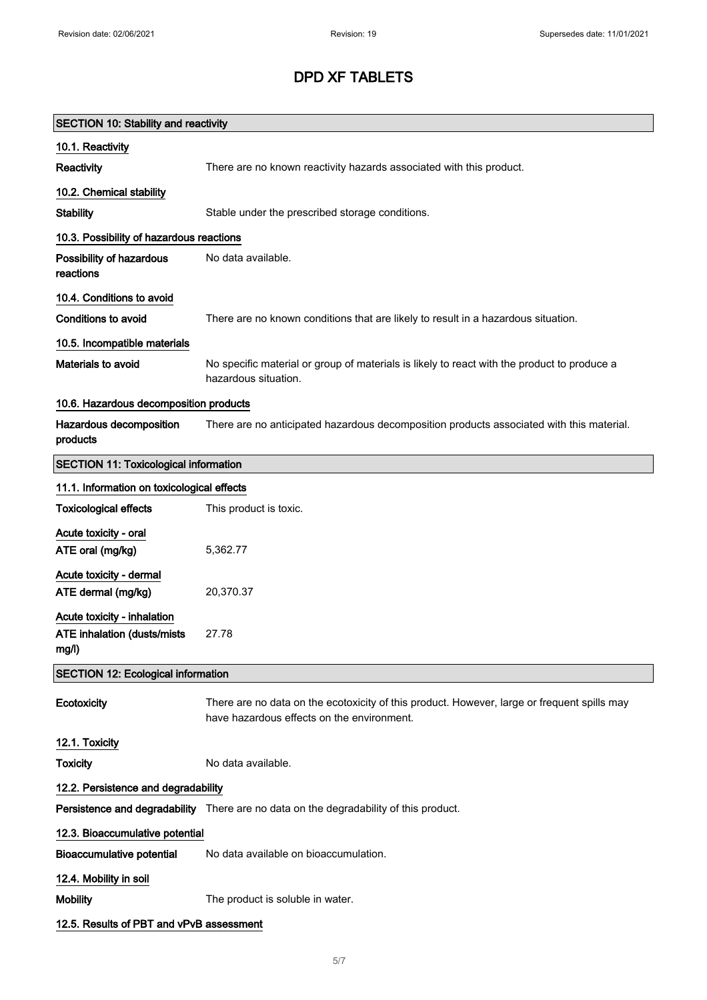| <b>SECTION 10: Stability and reactivity</b>                                |                                                                                                                                           |
|----------------------------------------------------------------------------|-------------------------------------------------------------------------------------------------------------------------------------------|
| 10.1. Reactivity                                                           |                                                                                                                                           |
| Reactivity                                                                 | There are no known reactivity hazards associated with this product.                                                                       |
| 10.2. Chemical stability                                                   |                                                                                                                                           |
| <b>Stability</b>                                                           | Stable under the prescribed storage conditions.                                                                                           |
| 10.3. Possibility of hazardous reactions                                   |                                                                                                                                           |
| Possibility of hazardous<br>reactions                                      | No data available.                                                                                                                        |
| 10.4. Conditions to avoid                                                  |                                                                                                                                           |
| <b>Conditions to avoid</b>                                                 | There are no known conditions that are likely to result in a hazardous situation.                                                         |
| 10.5. Incompatible materials                                               |                                                                                                                                           |
| Materials to avoid                                                         | No specific material or group of materials is likely to react with the product to produce a<br>hazardous situation.                       |
| 10.6. Hazardous decomposition products                                     |                                                                                                                                           |
| Hazardous decomposition<br>products                                        | There are no anticipated hazardous decomposition products associated with this material.                                                  |
| <b>SECTION 11: Toxicological information</b>                               |                                                                                                                                           |
| 11.1. Information on toxicological effects                                 |                                                                                                                                           |
| <b>Toxicological effects</b>                                               | This product is toxic.                                                                                                                    |
| Acute toxicity - oral<br>ATE oral (mg/kg)                                  | 5,362.77                                                                                                                                  |
| Acute toxicity - dermal<br>ATE dermal (mg/kg)                              | 20,370.37                                                                                                                                 |
| Acute toxicity - inhalation<br><b>ATE inhalation (dusts/mists</b><br>mg/l) | 27.78                                                                                                                                     |
| <b>SECTION 12: Ecological information</b>                                  |                                                                                                                                           |
| Ecotoxicity                                                                | There are no data on the ecotoxicity of this product. However, large or frequent spills may<br>have hazardous effects on the environment. |
| 12.1. Toxicity                                                             |                                                                                                                                           |
| <b>Toxicity</b>                                                            | No data available.                                                                                                                        |
| 12.2. Persistence and degradability                                        |                                                                                                                                           |
|                                                                            | Persistence and degradability There are no data on the degradability of this product.                                                     |
| 12.3. Bioaccumulative potential                                            |                                                                                                                                           |
| <b>Bioaccumulative potential</b>                                           | No data available on bioaccumulation.                                                                                                     |
| 12.4. Mobility in soil                                                     |                                                                                                                                           |
| <b>Mobility</b>                                                            | The product is soluble in water.                                                                                                          |
| 12.5. Results of PBT and vPvB assessment                                   |                                                                                                                                           |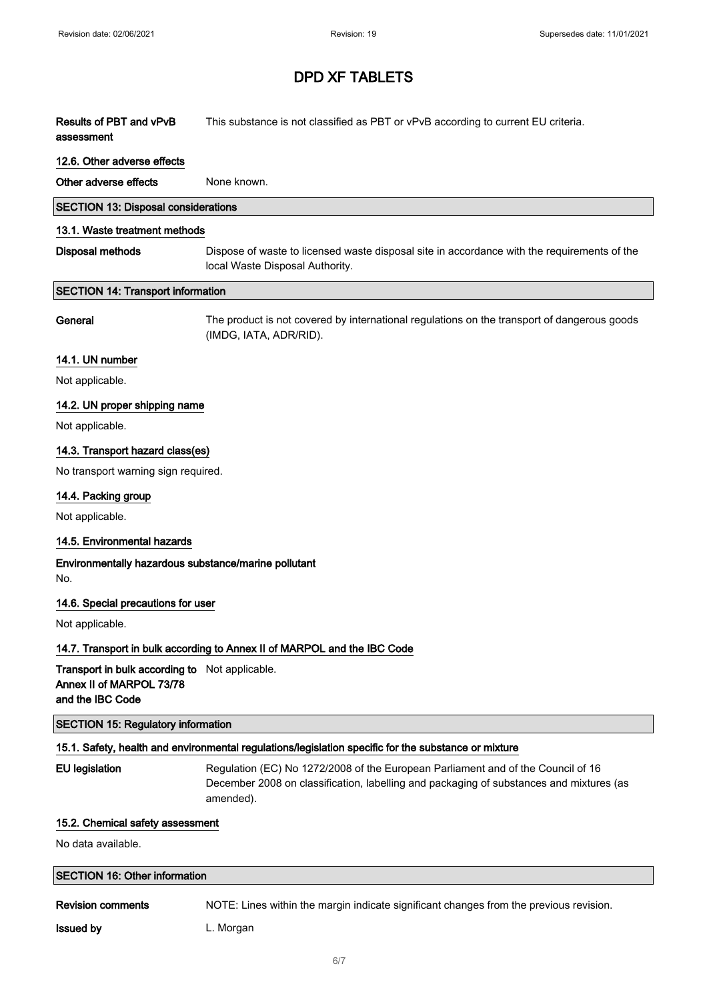Results of PBT and vPvB assessment This substance is not classified as PBT or vPvB according to current EU criteria.

#### 12.6. Other adverse effects

Other adverse effects None known.

| <b>SECTION 13: Disposal considerations</b> |  |
|--------------------------------------------|--|
|--------------------------------------------|--|

#### 13.1. Waste treatment methods

Disposal methods Dispose of waste to licensed waste disposal site in accordance with the requirements of the local Waste Disposal Authority.

#### SECTION 14: Transport information

General The product is not covered by international regulations on the transport of dangerous goods (IMDG, IATA, ADR/RID).

#### 14.1. UN number

Not applicable.

#### 14.2. UN proper shipping name

Not applicable.

#### 14.3. Transport hazard class(es)

No transport warning sign required.

#### 14.4. Packing group

Not applicable.

#### 14.5. Environmental hazards

#### Environmentally hazardous substance/marine pollutant No.

#### 14.6. Special precautions for user

Not applicable.

#### 14.7. Transport in bulk according to Annex II of MARPOL and the IBC Code

Transport in bulk according to Not applicable. Annex II of MARPOL 73/78 and the IBC Code

#### SECTION 15: Regulatory information

#### 15.1. Safety, health and environmental regulations/legislation specific for the substance or mixture

EU legislation **Regulation (EC) No 1272/2008** of the European Parliament and of the Council of 16 December 2008 on classification, labelling and packaging of substances and mixtures (as amended).

#### 15.2. Chemical safety assessment

No data available.

#### SECTION 16: Other information

Revision comments NOTE: Lines within the margin indicate significant changes from the previous revision.

**Issued by Camera L. Morgan**